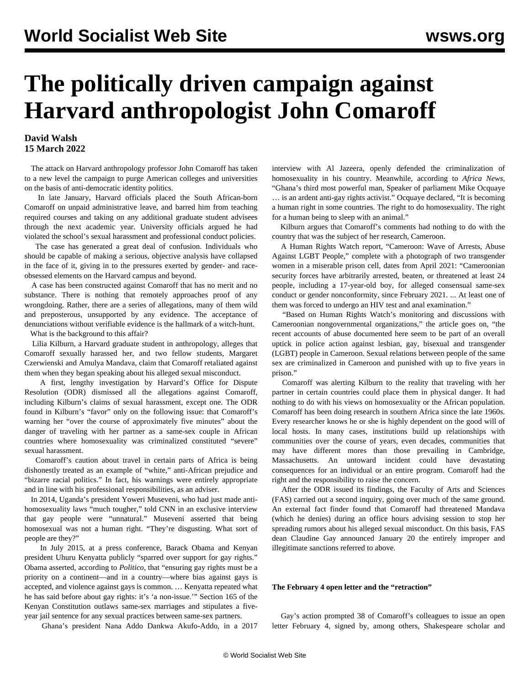# **The politically driven campaign against Harvard anthropologist John Comaroff**

### **David Walsh 15 March 2022**

 The attack on Harvard anthropology professor John Comaroff has taken to a new level the campaign to purge American colleges and universities on the basis of anti-democratic identity politics.

 In late January, Harvard officials placed the South African-born Comaroff on unpaid administrative leave, and barred him from teaching required courses and taking on any additional graduate student advisees through the next academic year. University officials argued he had violated the school's sexual harassment and professional conduct policies.

 The case has generated a great deal of confusion. Individuals who should be capable of making a serious, objective analysis have collapsed in the face of it, giving in to the pressures exerted by gender- and raceobsessed elements on the Harvard campus and beyond.

 A case has been constructed against Comaroff that has no merit and no substance. There is nothing that remotely approaches proof of any wrongdoing. Rather, there are a series of allegations, many of them wild and preposterous, unsupported by any evidence. The acceptance of denunciations without verifiable evidence is the hallmark of a witch-hunt.

What is the background to this affair?

 Lilia Kilburn, a Harvard graduate student in anthropology, alleges that Comaroff sexually harassed her, and two fellow students, Margaret Czerwienski and Amulya Mandava, claim that Comaroff retaliated against them when they began speaking about his alleged sexual misconduct.

 A first, lengthy investigation by Harvard's Office for Dispute Resolution (ODR) dismissed all the allegations against Comaroff, including Kilburn's claims of sexual harassment, except one. The ODR found in Kilburn's "favor" only on the following issue: that Comaroff's warning her "over the course of approximately five minutes" about the danger of traveling with her partner as a same-sex couple in African countries where homosexuality was criminalized constituted "severe" sexual harassment.

 Comaroff's caution about travel in certain parts of Africa is being dishonestly treated as an example of "white," anti-African prejudice and "bizarre racial politics." In fact, his warnings were entirely appropriate and in line with his professional responsibilities, as an adviser.

 In 2014, Uganda's president Yoweri Museveni, who had just made antihomosexuality laws "much tougher," told CNN in an exclusive interview that gay people were "unnatural." Museveni asserted that being homosexual was not a human right. "They're disgusting. What sort of people are they?"

 In July 2015, at a press conference, Barack Obama and Kenyan president Uhuru Kenyatta publicly "sparred over support for gay rights." Obama asserted, according to *Politico*, that "ensuring gay rights must be a priority on a continent—and in a country—where bias against gays is accepted, and violence against gays is common. … Kenyatta repeated what he has said before about gay rights: it's 'a non-issue.'" Section 165 of the Kenyan Constitution outlaws same-sex marriages and stipulates a fiveyear jail sentence for any sexual practices between same-sex partners.

Ghana's president Nana Addo Dankwa Akufo-Addo, in a 2017

interview with Al Jazeera, openly defended the criminalization of homosexuality in his country. Meanwhile, according to *Africa News*, "Ghana's third most powerful man, Speaker of parliament Mike Ocquaye

… is an ardent anti-gay rights activist." Ocquaye declared, "It is becoming a human right in some countries. The right to do homosexuality. The right for a human being to sleep with an animal."

 Kilburn argues that Comaroff's comments had nothing to do with the country that was the subject of her research, Cameroon.

 A Human Rights Watch report, "Cameroon: Wave of Arrests, Abuse Against LGBT People," complete with a photograph of two transgender women in a miserable prison cell, dates from April 2021: "Cameroonian security forces have arbitrarily arrested, beaten, or threatened at least 24 people, including a 17-year-old boy, for alleged consensual same-sex conduct or gender nonconformity, since February 2021. ... At least one of them was forced to undergo an HIV test and anal examination."

 "Based on Human Rights Watch's monitoring and discussions with Cameroonian nongovernmental organizations," the article goes on, "the recent accounts of abuse documented here seem to be part of an overall uptick in police action against lesbian, gay, bisexual and transgender (LGBT) people in Cameroon. Sexual relations between people of the same sex are criminalized in Cameroon and punished with up to five years in prison."

 Comaroff was alerting Kilburn to the reality that traveling with her partner in certain countries could place them in physical danger. It had nothing to do with his views on homosexuality or the African population. Comaroff has been doing research in southern Africa since the late 1960s. Every researcher knows he or she is highly dependent on the good will of local hosts. In many cases, institutions build up relationships with communities over the course of years, even decades, communities that may have different mores than those prevailing in Cambridge, Massachusetts. An untoward incident could have devastating consequences for an individual or an entire program. Comaroff had the right and the responsibility to raise the concern.

 After the ODR issued its findings, the Faculty of Arts and Sciences (FAS) carried out a second inquiry, going over much of the same ground. An external fact finder found that Comaroff had threatened Mandava (which he denies) during an office hours advising session to stop her spreading rumors about his alleged sexual misconduct. On this basis, FAS dean Claudine Gay announced January 20 the entirely improper and illegitimate sanctions referred to above.

#### **The February 4 open letter and the "retraction"**

 Gay's action prompted 38 of Comaroff's colleagues to issue an open letter February 4, signed by, among others, Shakespeare scholar and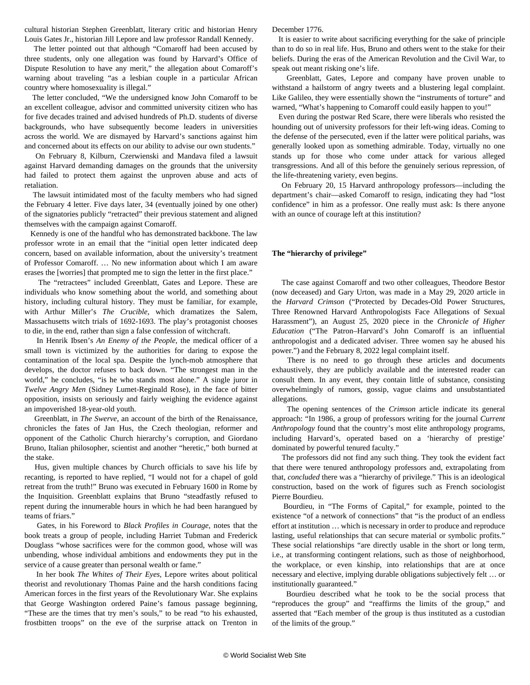cultural historian Stephen Greenblatt, literary critic and historian Henry Louis Gates Jr., historian Jill Lepore and law professor Randall Kennedy.

 The letter pointed out that although "Comaroff had been accused by three students, only one allegation was found by Harvard's Office of Dispute Resolution to have any merit," the allegation about Comaroff's warning about traveling "as a lesbian couple in a particular African country where homosexuality is illegal."

 The letter concluded, "We the undersigned know John Comaroff to be an excellent colleague, advisor and committed university citizen who has for five decades trained and advised hundreds of Ph.D. students of diverse backgrounds, who have subsequently become leaders in universities across the world. We are dismayed by Harvard's sanctions against him and concerned about its effects on our ability to advise our own students."

 On February 8, Kilburn, Czerwienski and Mandava filed a lawsuit against Harvard demanding damages on the grounds that the university had failed to protect them against the unproven abuse and acts of retaliation.

 The lawsuit intimidated most of the faculty members who had signed the February 4 letter. Five days later, 34 (eventually joined by one other) of the signatories publicly "retracted" their previous statement and aligned themselves with the campaign against Comaroff.

 Kennedy is one of the handful who has demonstrated backbone. The law professor wrote in an email that the "initial open letter indicated deep concern, based on available information, about the university's treatment of Professor Comaroff. … No new information about which I am aware erases the [worries] that prompted me to sign the letter in the first place."

 The "retractees" included Greenblatt, Gates and Lepore. These are individuals who know something about the world, and something about history, including cultural history. They must be familiar, for example, with Arthur Miller's *The Crucible*, which dramatizes the Salem, Massachusetts witch trials of 1692-1693. The play's protagonist chooses to die, in the end, rather than sign a false confession of witchcraft.

 In Henrik Ibsen's *An Enemy of the People*, the medical officer of a small town is victimized by the authorities for daring to expose the contamination of the local spa. Despite the lynch-mob atmosphere that develops, the doctor refuses to back down. "The strongest man in the world," he concludes, "is he who stands most alone." A single juror in *Twelve Angry Men* (Sidney Lumet-Reginald Rose), in the face of bitter opposition, insists on seriously and fairly weighing the evidence against an impoverished 18-year-old youth.

 Greenblatt, in *The Swerve*, an account of the birth of the Renaissance, chronicles the fates of Jan Hus, the Czech theologian, reformer and opponent of the Catholic Church hierarchy's corruption, and Giordano Bruno, Italian philosopher, scientist and another "heretic," both burned at the stake.

 Hus, given multiple chances by Church officials to save his life by recanting, is reported to have replied, "I would not for a chapel of gold retreat from the truth!" Bruno was executed in February 1600 in Rome by the Inquisition. Greenblatt explains that Bruno "steadfastly refused to repent during the innumerable hours in which he had been harangued by teams of friars."

 Gates, in his Foreword to *Black Profiles in Courage*, notes that the book treats a group of people, including Harriet Tubman and Frederick Douglass "whose sacrifices were for the common good, whose will was unbending, whose individual ambitions and endowments they put in the service of a cause greater than personal wealth or fame."

 In her book *The Whites of Their Eyes*, Lepore writes about political theorist and revolutionary Thomas Paine and the harsh conditions facing American forces in the first years of the Revolutionary War. She explains that George Washington ordered Paine's famous passage beginning, "These are the times that try men's souls," to be read "to his exhausted, frostbitten troops" on the eve of the surprise attack on Trenton in December 1776.

 It is easier to write about sacrificing everything for the sake of principle than to do so in real life. Hus, Bruno and others went to the stake for their beliefs. During the eras of the American Revolution and the Civil War, to speak out meant risking one's life.

 Greenblatt, Gates, Lepore and company have proven unable to withstand a hailstorm of angry tweets and a blustering legal complaint. Like Galileo, they were essentially shown the "instruments of torture" and warned, "What's happening to Comaroff could easily happen to you!"

 Even during the postwar Red Scare, there were liberals who resisted the hounding out of university professors for their left-wing ideas. Coming to the defense of the persecuted, even if the latter were political pariahs, was generally looked upon as something admirable. Today, virtually no one stands up for those who come under attack for various alleged transgressions. And all of this before the genuinely serious repression, of the life-threatening variety, even begins.

 On February 20, 15 Harvard anthropology professors—including the department's chair—asked Comaroff to resign, indicating they had "lost confidence" in him as a professor. One really must ask: Is there anyone with an ounce of courage left at this institution?

#### **The "hierarchy of privilege"**

 The case against Comaroff and two other colleagues, Theodore Bestor (now deceased) and Gary Urton, was made in a May 29, 2020 article in the *Harvard Crimson* ("Protected by Decades-Old Power Structures, Three Renowned Harvard Anthropologists Face Allegations of Sexual Harassment"), an August 25, 2020 piece in the *Chronicle of Higher Education* ("The Patron–Harvard's John Comaroff is an influential anthropologist and a dedicated adviser. Three women say he abused his power.") and the February 8, 2022 legal complaint itself.

 There is no need to go through these articles and documents exhaustively, they are publicly available and the interested reader can consult them. In any event, they contain little of substance, consisting overwhelmingly of rumors, gossip, vague claims and unsubstantiated allegations.

 The opening sentences of the *Crimson* article indicate its general approach: "In 1986, a group of professors writing for the journal *Current Anthropology* found that the country's most elite anthropology programs, including Harvard's, operated based on a 'hierarchy of prestige' dominated by powerful tenured faculty."

 The professors did not find any such thing. They took the evident fact that there were tenured anthropology professors and, extrapolating from that, *concluded* there was a "hierarchy of privilege." This is an ideological construction, based on the work of figures such as French sociologist Pierre Bourdieu.

 Bourdieu, in "The Forms of Capital," for example, pointed to the existence "of a network of connections" that "is the product of an endless effort at institution … which is necessary in order to produce and reproduce lasting, useful relationships that can secure material or symbolic profits." These social relationships "are directly usable in the short or long term, i.e., at transforming contingent relations, such as those of neighborhood, the workplace, or even kinship, into relationships that are at once necessary and elective, implying durable obligations subjectively felt … or institutionally guaranteed."

 Bourdieu described what he took to be the social process that "reproduces the group" and "reaffirms the limits of the group," and asserted that "Each member of the group is thus instituted as a custodian of the limits of the group."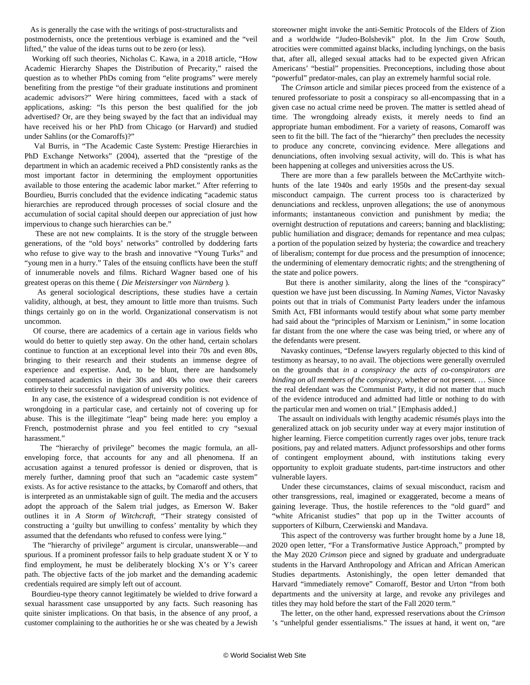As is generally the case with the writings of post-structuralists and postmodernists, once the pretentious verbiage is examined and the "veil lifted," the value of the ideas turns out to be zero (or less).

 Working off such theories, Nicholas C. Kawa, in a 2018 article, "How Academic Hierarchy Shapes the Distribution of Precarity," raised the question as to whether PhDs coming from "elite programs" were merely benefiting from the prestige "of their graduate institutions and prominent academic advisors?" Were hiring committees, faced with a stack of applications, asking: "Is this person the best qualified for the job advertised? Or, are they being swayed by the fact that an individual may have received his or her PhD from Chicago (or Harvard) and studied under Sahlins (or the Comaroffs)?"

 Val Burris, in "The Academic Caste System: Prestige Hierarchies in PhD Exchange Networks" (2004), asserted that the "prestige of the department in which an academic received a PhD consistently ranks as the most important factor in determining the employment opportunities available to those entering the academic labor market." After referring to Bourdieu, Burris concluded that the evidence indicating "academic status hierarchies are reproduced through processes of social closure and the accumulation of social capital should deepen our appreciation of just how impervious to change such hierarchies can be."

 These are not new complaints. It is the story of the struggle between generations, of the "old boys' networks" controlled by doddering farts who refuse to give way to the brash and innovative "Young Turks" and "young men in a hurry." Tales of the ensuing conflicts have been the stuff of innumerable novels and films. Richard Wagner based one of his greatest operas on this theme ( *Die Meistersinger von Nürnberg* ).

 As general sociological descriptions, these studies have a certain validity, although, at best, they amount to little more than truisms. Such things certainly go on in the world. Organizational conservatism is not uncommon.

 Of course, there are academics of a certain age in various fields who would do better to quietly step away. On the other hand, certain scholars continue to function at an exceptional level into their 70s and even 80s, bringing to their research and their students an immense degree of experience and expertise. And, to be blunt, there are handsomely compensated academics in their 30s and 40s who owe their careers entirely to their successful navigation of university politics.

 In any case, the existence of a widespread condition is not evidence of wrongdoing in a particular case, and certainly not of covering up for abuse. This is the illegitimate "leap" being made here: you employ a French, postmodernist phrase and you feel entitled to cry "sexual harassment."

 The "hierarchy of privilege" becomes the magic formula, an allenveloping force, that accounts for any and all phenomena. If an accusation against a tenured professor is denied or disproven, that is merely further, damning proof that such an "academic caste system" exists. As for active resistance to the attacks, by Comaroff and others, that is interpreted as an unmistakable sign of guilt. The media and the accusers adopt the approach of the Salem trial judges, as Emerson W. Baker outlines it in *A Storm of Witchcraft*, "Their strategy consisted of constructing a 'guilty but unwilling to confess' mentality by which they assumed that the defendants who refused to confess were lying."

 The "hierarchy of privilege" argument is circular, unanswerable—and spurious. If a prominent professor fails to help graduate student X or Y to find employment, he must be deliberately blocking X's or Y's career path. The objective facts of the job market and the demanding academic credentials required are simply left out of account.

 Bourdieu-type theory cannot legitimately be wielded to drive forward a sexual harassment case unsupported by any facts. Such reasoning has quite sinister implications. On that basis, in the absence of any proof, a customer complaining to the authorities he or she was cheated by a Jewish

storeowner might invoke the anti-Semitic Protocols of the Elders of Zion and a worldwide "Judeo-Bolshevik" plot. In the Jim Crow South, atrocities were committed against blacks, including lynchings, on the basis that, after all, alleged sexual attacks had to be expected given African Americans' "bestial" propensities. Preconceptions, including those about "powerful" predator-males, can play an extremely harmful social role.

 The *Crimson* article and similar pieces proceed from the existence of a tenured professoriate to posit a conspiracy so all-encompassing that in a given case no actual crime need be proven. The matter is settled ahead of time. The wrongdoing already exists, it merely needs to find an appropriate human embodiment. For a variety of reasons, Comaroff was seen to fit the bill. The fact of the "hierarchy" then precludes the necessity to produce any concrete, convincing evidence. Mere allegations and denunciations, often involving sexual activity, will do. This is what has been happening at colleges and universities across the US.

 There are more than a few parallels between the McCarthyite witchhunts of the late 1940s and early 1950s and the present-day sexual misconduct campaign. The current process too is characterized by denunciations and reckless, unproven allegations; the use of anonymous informants; instantaneous conviction and punishment by media; the overnight destruction of reputations and careers; banning and blacklisting; public humiliation and disgrace; demands for repentance and mea culpas; a portion of the population seized by hysteria; the cowardice and treachery of liberalism; contempt for due process and the presumption of innocence; the undermining of elementary democratic rights; and the strengthening of the state and police powers.

 But there is another similarity, along the lines of the "conspiracy" question we have just been discussing. In *Naming Names*, Victor Navasky points out that in trials of Communist Party leaders under the infamous Smith Act, FBI informants would testify about what some party member had said about the "principles of Marxism or Leninism," in some location far distant from the one where the case was being tried, or where any of the defendants were present.

 Navasky continues, "Defense lawyers regularly objected to this kind of testimony as hearsay, to no avail. The objections were generally overruled on the grounds that *in a conspiracy the acts of co-conspirators are binding on all members of the conspiracy*, whether or not present. … Since the real defendant was the Communist Party, it did not matter that much of the evidence introduced and admitted had little or nothing to do with the particular men and women on trial." [Emphasis added.]

 The assault on individuals with lengthy academic résumés plays into the generalized attack on job security under way at every major institution of higher learning. Fierce competition currently rages over jobs, tenure track positions, pay and related matters. Adjunct professorships and other forms of contingent employment abound, with institutions taking every opportunity to exploit graduate students, part-time instructors and other vulnerable layers.

 Under these circumstances, claims of sexual misconduct, racism and other transgressions, real, imagined or exaggerated, become a means of gaining leverage. Thus, the hostile references to the "old guard" and "white Africanist studies" that pop up in the Twitter accounts of supporters of Kilburn, Czerwienski and Mandava.

 This aspect of the controversy was further brought home by a June 18, 2020 open letter, "For a Transformative Justice Approach," prompted by the May 2020 *Crimson* piece and signed by graduate and undergraduate students in the Harvard Anthropology and African and African American Studies departments. Astonishingly, the open letter demanded that Harvard "immediately remove" Comaroff, Bestor and Urton "from both departments and the university at large, and revoke any privileges and titles they may hold before the start of the Fall 2020 term."

 The letter, on the other hand, expressed reservations about the *Crimson* 's "unhelpful gender essentialisms." The issues at hand, it went on, "are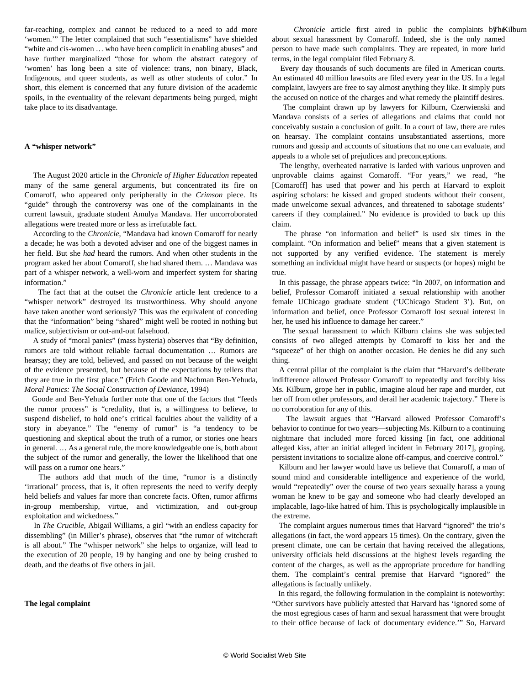far-reaching, complex and cannot be reduced to a need to add more 'women.'" The letter complained that such "essentialisms" have shielded "white and cis-women … who have been complicit in enabling abuses" and have further marginalized "those for whom the abstract category of 'women' has long been a site of violence: trans, non binary, Black, Indigenous, and queer students, as well as other students of color." In short, this element is concerned that any future division of the academic spoils, in the eventuality of the relevant departments being purged, might take place to its disadvantage.

#### **A "whisper network"**

 The August 2020 article in the *Chronicle of Higher Education* repeated many of the same general arguments, but concentrated its fire on Comaroff, who appeared only peripherally in the *Crimson* piece. Its "guide" through the controversy was one of the complainants in the current lawsuit, graduate student Amulya Mandava. Her uncorroborated allegations were treated more or less as irrefutable fact.

 According to the *Chronicle*, "Mandava had known Comaroff for nearly a decade; he was both a devoted adviser and one of the biggest names in her field. But she *had* heard the rumors. And when other students in the program asked her about Comaroff, she had shared them. … Mandava was part of a whisper network, a well-worn and imperfect system for sharing information."

 The fact that at the outset the *Chronicle* article lent credence to a "whisper network" destroyed its trustworthiness. Why should anyone have taken another word seriously? This was the equivalent of conceding that the "information" being "shared" might well be rooted in nothing but malice, subjectivism or out-and-out falsehood.

 A study of "moral panics" (mass hysteria) observes that "By definition, rumors are told without reliable factual documentation … Rumors are hearsay; they are told, believed, and passed on not because of the weight of the evidence presented, but because of the expectations by tellers that they are true in the first place." (Erich Goode and Nachman Ben-Yehuda, *Moral Panics: The Social Construction of Deviance*, 1994)

 Goode and Ben-Yehuda further note that one of the factors that "feeds the rumor process" is "credulity, that is, a willingness to believe, to suspend disbelief, to hold one's critical faculties about the validity of a story in abeyance." The "enemy of rumor" is "a tendency to be questioning and skeptical about the truth of a rumor, or stories one hears in general. … As a general rule, the more knowledgeable one is, both about the subject of the rumor and generally, the lower the likelihood that one will pass on a rumor one hears."

 The authors add that much of the time, "rumor is a distinctly 'irrational' process, that is, it often represents the need to verify deeply held beliefs and values far more than concrete facts. Often, rumor affirms in-group membership, virtue, and victimization, and out-group exploitation and wickedness."

 In *The Crucible*, Abigail Williams, a girl "with an endless capacity for dissembling" (in Miller's phrase), observes that "the rumor of witchcraft is all about." The "whisper network" she helps to organize, will lead to the execution of 20 people, 19 by hanging and one by being crushed to death, and the deaths of five others in jail.

**The legal complaint**

Chronicle article first aired in public the complaints by h&ilburn about sexual harassment by Comaroff. Indeed, she is the only named person to have made such complaints. They are repeated, in more lurid terms, in the legal complaint filed February 8.

 Every day thousands of such documents are filed in American courts. An estimated 40 million lawsuits are filed every year in the US. In a legal complaint, lawyers are free to say almost anything they like. It simply puts the accused on notice of the charges and what remedy the plaintiff desires.

 The complaint drawn up by lawyers for Kilburn, Czerwienski and Mandava consists of a series of allegations and claims that could not conceivably sustain a conclusion of guilt. In a court of law, there are rules on hearsay. The complaint contains unsubstantiated assertions, more rumors and gossip and accounts of situations that no one can evaluate, and appeals to a whole set of prejudices and preconceptions.

 The lengthy, overheated narrative is larded with various unproven and unprovable claims against Comaroff. "For years," we read, "he [Comaroff] has used that power and his perch at Harvard to exploit aspiring scholars: he kissed and groped students without their consent, made unwelcome sexual advances, and threatened to sabotage students' careers if they complained." No evidence is provided to back up this claim.

 The phrase "on information and belief" is used six times in the complaint. "On information and belief" means that a given statement is not supported by any verified evidence. The statement is merely something an individual might have heard or suspects (or hopes) might be true.

 In this passage, the phrase appears twice: "In 2007, on information and belief, Professor Comaroff initiated a sexual relationship with another female UChicago graduate student ('UChicago Student 3'). But, on information and belief, once Professor Comaroff lost sexual interest in her, he used his influence to damage her career."

 The sexual harassment to which Kilburn claims she was subjected consists of two alleged attempts by Comaroff to kiss her and the "squeeze" of her thigh on another occasion. He denies he did any such thing.

 A central pillar of the complaint is the claim that "Harvard's deliberate indifference allowed Professor Comaroff to repeatedly and forcibly kiss Ms. Kilburn, grope her in public, imagine aloud her rape and murder, cut her off from other professors, and derail her academic trajectory." There is no corroboration for any of this.

 The lawsuit argues that "Harvard allowed Professor Comaroff's behavior to continue for two years—subjecting Ms. Kilburn to a continuing nightmare that included more forced kissing [in fact, one additional alleged kiss, after an initial alleged incident in February 2017], groping, persistent invitations to socialize alone off-campus, and coercive control."

 Kilburn and her lawyer would have us believe that Comaroff, a man of sound mind and considerable intelligence and experience of the world, would "repeatedly" over the course of two years sexually harass a young woman he knew to be gay and someone who had clearly developed an implacable, Iago-like hatred of him. This is psychologically implausible in the extreme.

 The complaint argues numerous times that Harvard "ignored" the trio's allegations (in fact, the word appears 15 times). On the contrary, given the present climate, one can be certain that having received the allegations, university officials held discussions at the highest levels regarding the content of the charges, as well as the appropriate procedure for handling them. The complaint's central premise that Harvard "ignored" the allegations is factually unlikely.

 In this regard, the following formulation in the complaint is noteworthy: "Other survivors have publicly attested that Harvard has 'ignored some of the most egregious cases of harm and sexual harassment that were brought to their office because of lack of documentary evidence.'" So, Harvard